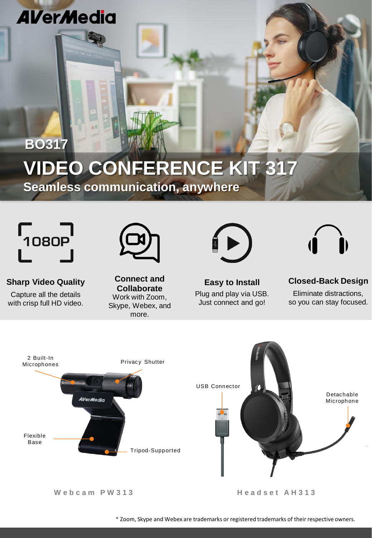## **AVerMedia**

# **VIDEO CONFERENCE KIT 317**

**Seamless communication, anywhere**



**BO317**

**Sharp Video Quality** 

Capture all the details with crisp full HD video.



**Connect and Collaborate** Work with Zoom, Skype, Webex, and more.



**Easy to Install** Plug and play via USB. Just connect and go!



**Closed-Back Design** Eliminate distractions, so you can stay focused.